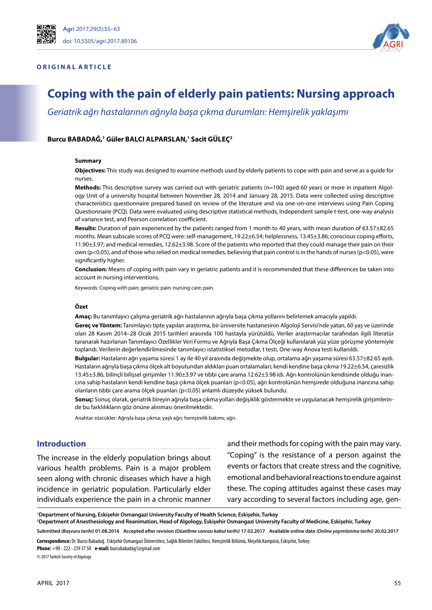### **ORIGINAL ARTICLE**



# **Coping with the pain of elderly pain patients: Nursing approach**

*Geriatrik ağrı hastalarının ağrıyla başa çıkma durumları: Hemşirelik yaklaşımı*

### **Burcu BABADAĞ, 1 Güler BALCI ALPARSLAN, 1 Sacit GÜLEÇ2**

#### **Summary**

**Objectives:** This study was designed to examine methods used by elderly patients to cope with pain and serve as a guide for nurses.

**Methods:** This descriptive survey was carried out with geriatric patients (n=100) aged 60 years or more in inpatient Algology Unit of a university hospital between November 28, 2014 and January 28, 2015. Data were collected using descriptive characteristics questionnaire prepared based on review of the literature and via one-on-one interviews using Pain Coping Questionnaire (PCQ). Data were evaluated using descriptive statistical methods, Independent sample t-test, one-way analysis of variance test, and Pearson correlation coefficient.

**Results:** Duration of pain experienced by the patients ranged from 1 month to 40 years, with mean duration of 63.57±82.65 months. Mean subscale scores of PCQ were: self-management, 19.22±6.54; helplessness, 13.45±3.86; conscious coping efforts, 11.90±3.97; and medical remedies, 12.62±3.98. Score of the patients who reported that they could manage their pain on their own (p<0.05), and of those who relied on medical remedies, believing that pain control is in the hands of nurses (p<0.05), were significantly higher.

**Conclusion:** Means of coping with pain vary in geriatric patients and it is recommended that these differences be taken into account in nursing interventions.

Keywords: Coping with pain; geriatric pain; nursing care; pain.

#### **Özet**

**Amaç:** Bu tanımlayıcı çalışma geriatrik ağrı hastalarının ağrıyla başa çıkma yollarını belirlemek amacıyla yapıldı.

**Gereç ve Yöntem:** Tanımlayıcı tipte yapılan araştırma, bir üniversite hastanesinin Algoloji Servisi'nde yatan, 60 yaş ve üzerinde olan 28 Kasım 2014–28 Ocak 2015 tarihleri arasında 100 hastayla yürütüldü. Veriler araştırmacılar tarafından ilgili literatür taranarak hazırlanan Tanımlayıcı Özellikler Veri Formu ve Ağrıyla Başa Çıkma Ölçeği kullanılarak yüz yüze görüşme yöntemiyle toplandı. Verilerin değerlendirilmesinde tanımlayıcı istatistiksel metodlar, t testi, One-way Anova testi kullanıldı.

**Bulgular:** Hastaların ağrı yaşama süresi 1 ay ile 40 yıl arasında değişmekte olup, ortalama ağrı yaşama süresi 63.57±82.65 aydı. Hastaların ağrıyla başa çıkma ölçek alt boyutundan aldıkları puan ortalamaları; kendi kendine başa çıkma 19.22±6.54, çaresizlik 13.45±3.86, bilinçli bilişsel girişimler 11.90±3.97 ve tıbbi çare arama 12.62±3.98 idi. Ağrı kontrolünün kendisinde olduğu inancına sahip hastaların kendi kendine başa çıkma ölçek puanları (p<0.05), ağrı kontrolünün hemşirede olduğuna inancına sahip olanların tıbbi çare arama ölçek puanları (p<0.05) anlamlı düzeyde yüksek bulundu.

**Sonuç:** Sonuç olarak, geriatrik bireyin ağrıyla başa çıkma yolları değişiklik göstermekte ve uygulanacak hemşirelik girişimlerinde bu farklılıkların göz önüne alınması önerilmektedir.

Anahtar sözcükler: Ağrıyla başa çıkma; yaşlı ağrı; hemşirelik bakımı; ağrı.

#### **Introduction**

The increase in the elderly population brings about various health problems. Pain is a major problem seen along with chronic diseases which have a high incidence in geriatric population. Particularly elder individuals experience the pain in a chronic manner and their methods for coping with the pain may vary. "Coping" is the resistance of a person against the events or factors that create stress and the cognitive, emotional and behavioral reactions to endure against these. The coping attitudes against these cases may vary according to several factors including age, gen-

**1 Department of Nursing, Eskişehir Osmangazi University Faculty of Health Science, Eskişehir, Turkey**

**2 Department of Anesthesiology and Reanimation, Head of Algology, Eskişehir Osmangazi University Faculty of Medicine, Eskişehir, Turkey**

Submitted (Başvuru tarihi) 01.08.2016 Accepted after revision (Düzeltme sonrası kabul tarihi) 17.02.2017 Available online date (Online yayımlanma tarihi) 20.02.2017 **Correspondence:** Dr. Burcu Babadağ. Eskişehir Osmangazi Üniversitesi, Sağlık Bilimleri Fakültesi, Hemşirelik Bölümü, Meşelik Kampüsü, Eskişehir, Turkey.

**Phone:** +90 - 222 - 239 37 50 **e-mail:** burcubabadag1@gmail.com © 2017 Turkish Society of Algology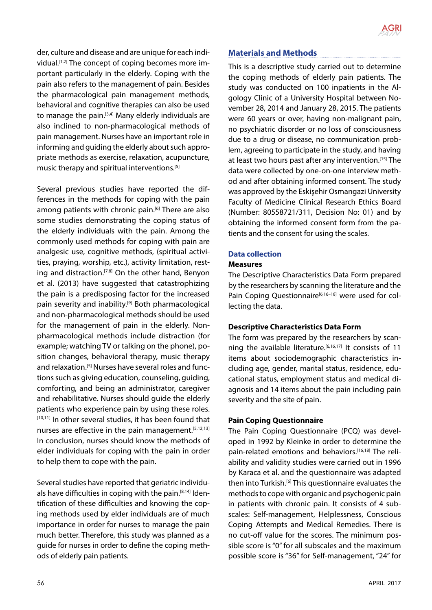

der, culture and disease and are unique for each individual.<sup>[1,2]</sup> The concept of coping becomes more important particularly in the elderly. Coping with the pain also refers to the management of pain. Besides the pharmacological pain management methods, behavioral and cognitive therapies can also be used to manage the pain.<sup>[3,4]</sup> Many elderly individuals are also inclined to non-pharmacological methods of pain management. Nurses have an important role in informing and guiding the elderly about such appropriate methods as exercise, relaxation, acupuncture, music therapy and spiritual interventions.[5]

Several previous studies have reported the differences in the methods for coping with the pain among patients with chronic pain.<sup>[6]</sup> There are also some studies demonstrating the coping status of the elderly individuals with the pain. Among the commonly used methods for coping with pain are analgesic use, cognitive methods, (spiritual activities, praying, worship, etc.), activity limitation, resting and distraction.<sup>[7,8]</sup> On the other hand, Benyon et al. (2013) have suggested that catastrophizing the pain is a predisposing factor for the increased pain severity and inability.<sup>[9]</sup> Both pharmacological and non-pharmacological methods should be used for the management of pain in the elderly. Nonpharmacological methods include distraction (for example; watching TV or talking on the phone), position changes, behavioral therapy, music therapy and relaxation.[5] Nurses have several roles and functions such as giving education, counseling, guiding, comforting, and being an administrator, caregiver and rehabilitative. Nurses should guide the elderly patients who experience pain by using these roles. [10,11] In other several studies, it has been found that nurses are effective in the pain management.<sup>[5,12,13]</sup> In conclusion, nurses should know the methods of elder individuals for coping with the pain in order to help them to cope with the pain.

Several studies have reported that geriatric individuals have difficulties in coping with the pain.[8,14] Identification of these difficulties and knowing the coping methods used by elder individuals are of much importance in order for nurses to manage the pain much better. Therefore, this study was planned as a guide for nurses in order to define the coping methods of elderly pain patients.

# **Materials and Methods**

This is a descriptive study carried out to determine the coping methods of elderly pain patients. The study was conducted on 100 inpatients in the Algology Clinic of a University Hospital between November 28, 2014 and January 28, 2015. The patients were 60 years or over, having non-malignant pain, no psychiatric disorder or no loss of consciousness due to a drug or disease, no communication problem, agreeing to participate in the study, and having at least two hours past after any intervention.[15] The data were collected by one-on-one interview method and after obtaining informed consent. The study was approved by the Eskişehir Osmangazi University Faculty of Medicine Clinical Research Ethics Board (Number: 80558721/311, Decision No: 01) and by obtaining the informed consent form from the patients and the consent for using the scales.

### **Data collection**

#### **Measures**

The Descriptive Characteristics Data Form prepared by the researchers by scanning the literature and the Pain Coping Questionnaire<sup>[6,16-18]</sup> were used for collecting the data.

### **Descriptive Characteristics Data Form**

The form was prepared by the researchers by scanning the available literature.<sup>[6,16,17]</sup> It consists of 11 items about sociodemographic characteristics including age, gender, marital status, residence, educational status, employment status and medical diagnosis and 14 items about the pain including pain severity and the site of pain.

### **Pain Coping Questionnaire**

The Pain Coping Questionnaire (PCQ) was developed in 1992 by Kleinke in order to determine the pain-related emotions and behaviors.<sup>[16,18]</sup> The reliability and validity studies were carried out in 1996 by Karaca et al. and the questionnaire was adapted then into Turkish.[6] This questionnaire evaluates the methods to cope with organic and psychogenic pain in patients with chronic pain. It consists of 4 subscales: Self-management, Helplessness, Conscious Coping Attempts and Medical Remedies. There is no cut-off value for the scores. The minimum possible score is "0" for all subscales and the maximum possible score is "36" for Self-management, "24" for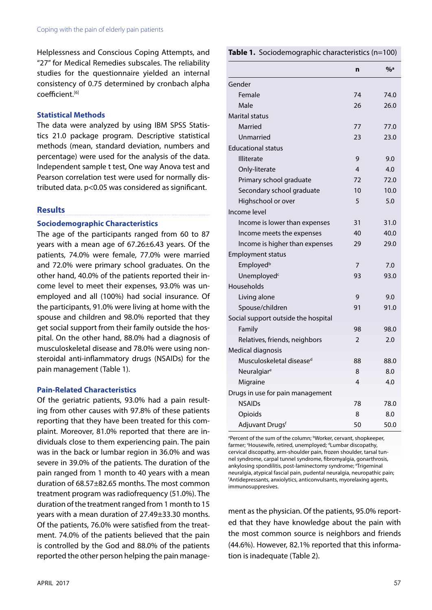Helplessness and Conscious Coping Attempts, and "27" for Medical Remedies subscales. The reliability studies for the questionnaire yielded an internal consistency of 0.75 determined by cronbach alpha coefficient.[6]

### **Statistical Methods**

The data were analyzed by using IBM SPSS Statistics 21.0 package program. Descriptive statistical methods (mean, standard deviation, numbers and percentage) were used for the analysis of the data. Independent sample t test, One way Anova test and Pearson correlation test were used for normally distributed data. p<0.05 was considered as significant.

### **Results**

### **Sociodemographic Characteristics**

The age of the participants ranged from 60 to 87 years with a mean age of 67.26±6.43 years. Of the patients, 74.0% were female, 77.0% were married and 72.0% were primary school graduates. On the other hand, 40.0% of the patients reported their income level to meet their expenses, 93.0% was unemployed and all (100%) had social insurance. Of the participants, 91.0% were living at home with the spouse and children and 98.0% reported that they get social support from their family outside the hospital. On the other hand, 88.0% had a diagnosis of musculoskeletal disease and 78.0% were using nonsteroidal anti-inflammatory drugs (NSAIDs) for the pain management (Table 1).

### **Pain-Related Characteristics**

Of the geriatric patients, 93.0% had a pain resulting from other causes with 97.8% of these patients reporting that they have been treated for this complaint. Moreover, 81.0% reported that there are individuals close to them experiencing pain. The pain was in the back or lumbar region in 36.0% and was severe in 39.0% of the patients. The duration of the pain ranged from 1 month to 40 years with a mean duration of 68.57±82.65 months. The most common treatment program was radiofrequency (51.0%). The duration of the treatment ranged from 1 month to 15 years with a mean duration of 27.49±33.30 months. Of the patients, 76.0% were satisfied from the treatment. 74.0% of the patients believed that the pain is controlled by the God and 88.0% of the patients reported the other person helping the pain manage-

### **Table 1.** Sociodemographic characteristics (n=100)

|                                      | n  | $\frac{0}{2}$ a |
|--------------------------------------|----|-----------------|
| Gender                               |    |                 |
| Female                               | 74 | 74.0            |
| Male                                 | 26 | 26.0            |
| <b>Marital status</b>                |    |                 |
| Married                              | 77 | 77.0            |
| Unmarried                            | 23 | 23.0            |
| <b>Educational status</b>            |    |                 |
| <b>Illiterate</b>                    | 9  | 9.0             |
| Only-literate                        | 4  | 4.0             |
| Primary school graduate              | 72 | 72.0            |
| Secondary school graduate            | 10 | 10.0            |
| Highschool or over                   | 5  | 5.0             |
| Income level                         |    |                 |
| Income is lower than expenses        | 31 | 31.0            |
| Income meets the expenses            | 40 | 40.0            |
| Income is higher than expenses       | 29 | 29.0            |
| <b>Employment status</b>             |    |                 |
| Employed <sup>b</sup>                | 7  | 7.0             |
| Unemployed <sup>c</sup>              | 93 | 93.0            |
| Households                           |    |                 |
| Living alone                         | 9  | 9.0             |
| Spouse/children                      | 91 | 91.0            |
| Social support outside the hospital  |    |                 |
| Family                               | 98 | 98.0            |
| Relatives, friends, neighbors        | 2  | 2.0             |
| Medical diagnosis                    |    |                 |
| Musculoskeletal disease <sup>d</sup> | 88 | 88.0            |
| Neuralgiar <sup>e</sup>              | 8  | 8.0             |
| Migraine                             | 4  | 4.0             |
| Drugs in use for pain management     |    |                 |
| <b>NSAIDs</b>                        | 78 | 78.0            |
| Opioids                              | 8  | 8.0             |
| Adjuvant Drugs <sup>f</sup>          | 50 | 50.0            |

<sup>a</sup>Percent of the sum of the column; bWorker, cervant, shopkeeper, farmer; 'Housewife, retired, unemployed; <sup>d</sup>Lumbar discopathy, cervical discopathy, arm-shoulder pain, frozen shoulder, tarsal tunnel syndrome, carpal tunnel syndrome, fibromyalgia, gonarthrosis, ankylosing spondilitis, post-laminectomy syndrome; <sup>e</sup>Trigeminal neuralgia, atypical fascial pain, pudental neuralgia, neuropathic pain; f Antidepressants, anxiolytics, anticonvulsants, myorelaxing agents, immunosuppresives.

ment as the physician. Of the patients, 95.0% reported that they have knowledge about the pain with the most common source is neighbors and friends (44.6%). However, 82.1% reported that this information is inadequate (Table 2).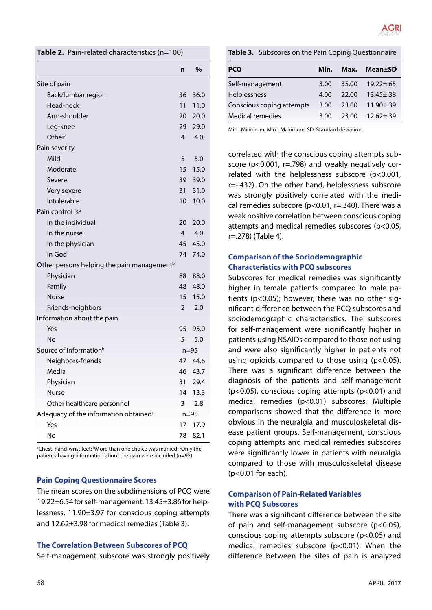

#### **Table 2.** Pain-related characteristics (n=100)

|                                                        | n              | %        |
|--------------------------------------------------------|----------------|----------|
| Site of pain                                           |                |          |
| Back/lumbar region                                     | 36             | 36.0     |
| Head-neck                                              | 11             | 11.0     |
| Arm-shoulder                                           | 20             | 20.0     |
| Leg-knee                                               | 29             | 29.0     |
| Other <sup>a</sup>                                     | 4              | 4.0      |
| Pain severity                                          |                |          |
| Mild                                                   | 5              | 5.0      |
| Moderate                                               | 15             | 15.0     |
| Severe                                                 | 39             | 39.0     |
| Very severe                                            | 31             | 31.0     |
| Intolerable                                            | 10             | 10.0     |
| Pain control is <sup>b</sup>                           |                |          |
| In the individual                                      | 20             | 20.0     |
| In the nurse                                           | 4              | 4.0      |
| In the physician                                       | 45             | 45.0     |
| In God                                                 | 74             | 74.0     |
| Other persons helping the pain management <sup>b</sup> |                |          |
| Physician                                              | 88             | 88.0     |
| Family                                                 | 48             | 48.0     |
| <b>Nurse</b>                                           | 15             | 15.0     |
| Friends-neighbors                                      | $\overline{2}$ | 2.0      |
| Information about the pain                             |                |          |
| Yes                                                    | 95             | 95.0     |
| <b>No</b>                                              | 5              | 5.0      |
| Source of information <sup>b</sup>                     |                | $n = 95$ |
| Neighbors-friends                                      |                | 47 44.6  |
| Media                                                  | 46             | 43.7     |
| Physician                                              | 31             | 29.4     |
| Nurse                                                  | 14             | 13.3     |
| Other healthcare personnel                             | 3              | 2.8      |
| Adequacy of the information obtained <sup>c</sup>      |                | $n=95$   |
| Yes                                                    | 17             | 17.9     |
| No                                                     | 78             | 82.1     |

<sup>a</sup>Chest, hand-wrist feet; <sup>b</sup>More than one choice was marked; 'Only the patients having information about the pain were included (n=95).

#### **Pain Coping Questionnaire Scores**

The mean scores on the subdimensions of PCQ were 19.22±6.54 for self-management, 13.45±3.86 for helplessness, 11.90±3.97 for conscious coping attempts and 12.62±3.98 for medical remedies (Table 3).

#### **The Correlation Between Subscores of PCQ**

Self-management subscore was strongly positively

#### **Table 3.** Subscores on the Pain Coping Questionnaire

| <b>PCQ</b>                | Min. | Max.  | <b>Mean</b> ±SD |
|---------------------------|------|-------|-----------------|
| Self-management           | 3.00 | 35.00 | $19.22 \pm .65$ |
| Helplessness              | 4.00 | 22.00 | $13.45 + .38$   |
| Conscious coping attempts | 3.00 | 23.00 | $11.90 \pm .39$ |
| Medical remedies          | 3.00 | 23.00 | $12.62 \pm .39$ |

Min.: Minimum; Max.: Maximum; SD: Standard deviation.

correlated with the conscious coping attempts subscore (p<0.001, r=.798) and weakly negatively correlated with the helplessness subscore (p<0.001, r=-.432). On the other hand, helplessness subscore was strongly positively correlated with the medical remedies subscore (p<0.01, r=.340). There was a weak positive correlation between conscious coping attempts and medical remedies subscores (p<0.05, r=.278) (Table 4).

### **Comparison of the Sociodemographic Characteristics with PCQ subscores**

Subscores for medical remedies was significantly higher in female patients compared to male patients (p<0.05); however, there was no other significant difference between the PCQ subscores and sociodemographic characteristics. The subscores for self-management were significantly higher in patients using NSAIDs compared to those not using and were also significantly higher in patients not using opioids compared to those using (p<0.05). There was a significant difference between the diagnosis of the patients and self-management (p<0.05), conscious coping attempts (p<0.01) and medical remedies (p<0.01) subscores. Multiple comparisons showed that the difference is more obvious in the neuralgia and musculoskeletal disease patient groups. Self-management, conscious coping attempts and medical remedies subscores were significantly lower in patients with neuralgia compared to those with musculoskeletal disease (p<0.01 for each).

### **Comparison of Pain-Related Variables with PCQ Subscores**

There was a significant difference between the site of pain and self-management subscore (p<0.05), conscious coping attempts subscore (p<0.05) and medical remedies subscore (p<0.01). When the difference between the sites of pain is analyzed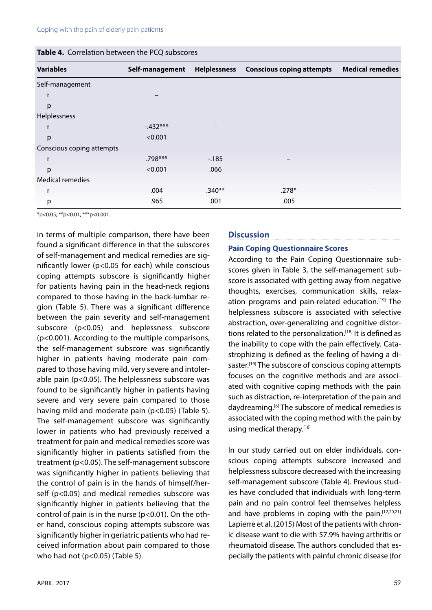|  | Table 4. Correlation between the PCQ subscores |  |  |  |
|--|------------------------------------------------|--|--|--|
|--|------------------------------------------------|--|--|--|

| <b>Variables</b>          | Self-management |          | Helplessness Conscious coping attempts | <b>Medical remedies</b> |
|---------------------------|-----------------|----------|----------------------------------------|-------------------------|
| Self-management           |                 |          |                                        |                         |
| r                         |                 |          |                                        |                         |
| p                         |                 |          |                                        |                         |
| Helplessness              |                 |          |                                        |                         |
| r                         | $-432***$       |          |                                        |                         |
| p                         | < 0.001         |          |                                        |                         |
| Conscious coping attempts |                 |          |                                        |                         |
| r                         | .798***         | $-185$   |                                        |                         |
| р                         | < 0.001         | .066     |                                        |                         |
| Medical remedies          |                 |          |                                        |                         |
| r                         | .004            | $.340**$ | $.278*$                                |                         |
| р                         | .965            | .001     | .005                                   |                         |

\*p<0.05; \*\*p<0.01; \*\*\*p<0.001.

in terms of multiple comparison, there have been found a significant difference in that the subscores of self-management and medical remedies are significantly lower (p<0.05 for each) while conscious coping attempts subscore is significantly higher for patients having pain in the head-neck regions compared to those having in the back-lumbar region (Table 5). There was a significant difference between the pain severity and self-management subscore (p<0.05) and heplessness subscore (p<0.001). According to the multiple comparisons, the self-management subscore was significantly higher in patients having moderate pain compared to those having mild, very severe and intolerable pain (p<0.05). The helplessness subscore was found to be significantly higher in patients having severe and very severe pain compared to those having mild and moderate pain (p<0.05) (Table 5). The self-management subscore was significantly lower in patients who had previously received a treatment for pain and medical remedies score was significantly higher in patients satisfied from the treatment (p<0.05). The self-management subscore was significantly higher in patients believing that the control of pain is in the hands of himself/herself (p<0.05) and medical remedies subscore was significantly higher in patients believing that the control of pain is in the nurse ( $p$ <0.01). On the other hand, conscious coping attempts subscore was significantly higher in geriatric patients who had received information about pain compared to those who had not (p<0.05) (Table 5).

#### **Discussion**

#### **Pain Coping Questionnaire Scores**

According to the Pain Coping Questionnaire subscores given in Table 3, the self-management subscore is associated with getting away from negative thoughts, exercises, communication skills, relaxation programs and pain-related education.<sup>[19]</sup> The helplessness subscore is associated with selective abstraction, over-generalizing and cognitive distortions related to the personalization.<sup>[18]</sup> It is defined as the inability to cope with the pain effectively. Catastrophizing is defined as the feeling of having a disaster.<sup>[19]</sup> The subscore of conscious coping attempts focuses on the cognitive methods and are associated with cognitive coping methods with the pain such as distraction, re-interpretation of the pain and daydreaming.<sup>[6]</sup> The subscore of medical remedies is associated with the coping method with the pain by using medical therapy.[18]

In our study carried out on elder individuals, conscious coping attempts subscore increased and helplessness subscore decreased with the increasing self-management subscore (Table 4). Previous studies have concluded that individuals with long-term pain and no pain control feel themselves helpless and have problems in coping with the pain.[12,20,21] Lapierre et al. (2015) Most of the patients with chronic disease want to die with 57.9% having arthritis or rheumatoid disease. The authors concluded that especially the patients with painful chronic disease (for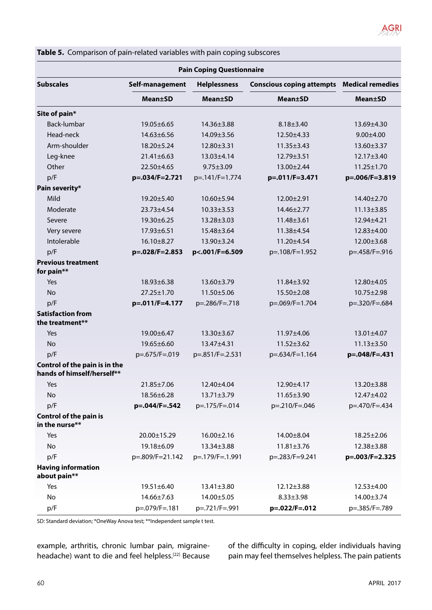

| <b>Pain Coping Questionnaire</b>                            |                  |                     |                                                   |                  |
|-------------------------------------------------------------|------------------|---------------------|---------------------------------------------------|------------------|
| <b>Subscales</b>                                            | Self-management  | <b>Helplessness</b> | <b>Conscious coping attempts Medical remedies</b> |                  |
|                                                             | <b>Mean</b> ±SD  | <b>Mean±SD</b>      | <b>Mean±SD</b>                                    | <b>Mean±SD</b>   |
| Site of pain*                                               |                  |                     |                                                   |                  |
| Back-lumbar                                                 | 19.05±6.65       | 14.36±3.88          | $8.18 \pm 3.40$                                   | 13.69±4.30       |
| Head-neck                                                   | $14.63 \pm 6.56$ | 14.09±3.56          | 12.50±4.33                                        | $9.00 \pm 4.00$  |
| Arm-shoulder                                                | 18.20±5.24       | 12.80±3.31          | $11.35 \pm 3.43$                                  | 13.60±3.37       |
| Leg-knee                                                    | $21.41 \pm 6.63$ | 13.03±4.14          | 12.79±3.51                                        | 12.17±3.40       |
| Other                                                       | 22.50±4.65       | $9.75 \pm 3.09$     | 13.00±2.44                                        | $11.25 \pm 1.70$ |
| p/F                                                         | p=.034/F=2.721   | p=.141/F=1.774      | p=.011/F=3.471                                    | p=.006/F=3.819   |
| Pain severity*                                              |                  |                     |                                                   |                  |
| Mild                                                        | 19.20±5.40       | $10.60 \pm 5.94$    | 12.00±2.91                                        | 14.40±2.70       |
| Moderate                                                    | 23.73±4.54       | $10.33 \pm 3.53$    | 14.46±2.77                                        | $11.13 \pm 3.85$ |
| Severe                                                      | 19.30±6.25       | $13.28 \pm 3.03$    | $11.48 \pm 3.61$                                  | 12.94±4.21       |
| Very severe                                                 | 17.93±6.51       | 15.48±3.64          | 11.38±4.54                                        | 12.83±4.00       |
| Intolerable                                                 | 16.10±8.27       | 13.90±3.24          | 11.20±4.54                                        | 12.00±3.68       |
| p/F                                                         | p=.028/F=2.853   | p<.001/F=6.509      | p=.108/F=1.952                                    | p=.458/F=.916    |
| <b>Previous treatment</b><br>for pain**                     |                  |                     |                                                   |                  |
| Yes                                                         | $18.93 \pm 6.38$ | $13.60 \pm 3.79$    | $11.84 \pm 3.92$                                  | 12.80±4.05       |
| <b>No</b>                                                   | 27.25±1.70       | 11.50±5.06          | 15.50±2.08                                        | 10.75±2.98       |
| p/F                                                         | p=.011/F=4.177   | p=.286/F=.718       | p=.069/F=1.704                                    | p=.320/F=.684    |
| <b>Satisfaction from</b><br>the treatment**                 |                  |                     |                                                   |                  |
| Yes                                                         | 19.00±6.47       | 13.30±3.67          | 11.97±4.06                                        | $13.01 \pm 4.07$ |
| <b>No</b>                                                   | 19.65±6.60       | 13.47±4.31          | $11.52 \pm 3.62$                                  | $11.13 \pm 3.50$ |
| p/F                                                         | p=.675/F=.019    | p=.851/F=.2.531     | p=.634/F=1.164                                    | p=.048/F=.431    |
| Control of the pain is in the<br>hands of himself/herself** |                  |                     |                                                   |                  |
| Yes                                                         | 21.85±7.06       | 12.40±4.04          | 12.90±4.17                                        | 13.20±3.88       |
| No                                                          | 18.56±6.28       | $13.71 \pm 3.79$    | $11.65 \pm 3.90$                                  | 12.47±4.02       |
| p/F                                                         | p=.044/F=.542    | p=.175/F=.014       | p=.210/F=.046                                     | p=.470/F=.434    |
| <b>Control of the pain is</b><br>in the nurse**             |                  |                     |                                                   |                  |
| Yes                                                         | 20.00±15.29      | $16.00 \pm 2.16$    | 14.00±8.04                                        | $18.25 \pm 2.06$ |
| No                                                          | 19.18±6.09       | 13.34±3.88          | $11.81 \pm 3.76$                                  | 12.38±3.88       |
| p/F                                                         | p=.809/F=21.142  | p=.179/F=.1.991     | p=.283/F=9.241                                    | p=.003/F=2.325   |
| <b>Having information</b><br>about pain**                   |                  |                     |                                                   |                  |
| Yes                                                         | 19.51±6.40       | $13.41 \pm 3.80$    | $12.12 \pm 3.88$                                  | $12.53 \pm 4.00$ |
| No                                                          | 14.66±7.63       | 14.00±5.05          | $8.33 \pm 3.98$                                   | 14.00±3.74       |
| p/F                                                         | p=.079/F=.181    | p=.721/F=.991       | p=.022/F=.012                                     | p=.385/F=.789    |

**Table 5.** Comparison of pain-related variables with pain coping subscores

SD: Standard deviation; \*OneWay Anova test; \*\*Independent sample t test.

example, arthritis, chronic lumbar pain, migraineheadache) want to die and feel helpless.[22] Because of the difficulty in coping, elder individuals having pain may feel themselves helpless. The pain patients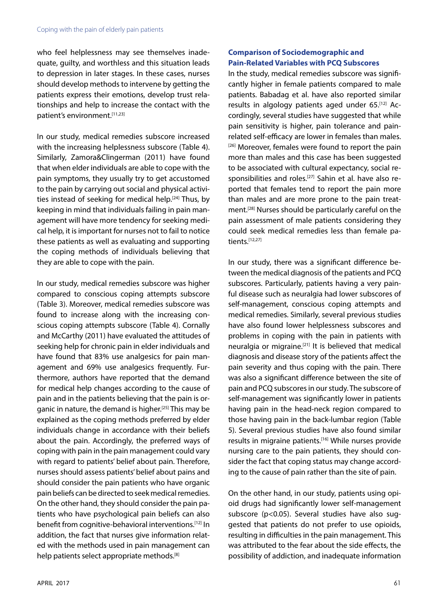who feel helplessness may see themselves inadequate, guilty, and worthless and this situation leads to depression in later stages. In these cases, nurses should develop methods to intervene by getting the patients express their emotions, develop trust relationships and help to increase the contact with the patient's environment.<sup>[11,23]</sup>

In our study, medical remedies subscore increased with the increasing helplessness subscore (Table 4). Similarly, Zamora&Clingerman (2011) have found that when elder individuals are able to cope with the pain symptoms, they usually try to get accustomed to the pain by carrying out social and physical activities instead of seeking for medical help.<sup>[24]</sup> Thus, by keeping in mind that individuals failing in pain management will have more tendency for seeking medical help, it is important for nurses not to fail to notice these patients as well as evaluating and supporting the coping methods of individuals believing that they are able to cope with the pain.

In our study, medical remedies subscore was higher compared to conscious coping attempts subscore (Table 3). Moreover, medical remedies subscore was found to increase along with the increasing conscious coping attempts subscore (Table 4). Cornally and McCarthy (2011) have evaluated the attitudes of seeking help for chronic pain in elder individuals and have found that 83% use analgesics for pain management and 69% use analgesics frequently. Furthermore, authors have reported that the demand for medical help changes according to the cause of pain and in the patients believing that the pain is organic in nature, the demand is higher.[25] This may be explained as the coping methods preferred by elder individuals change in accordance with their beliefs about the pain. Accordingly, the preferred ways of coping with pain in the pain management could vary with regard to patients' belief about pain. Therefore, nurses should assess patients' belief about pains and should consider the pain patients who have organic pain beliefs can be directed to seek medical remedies. On the other hand, they should consider the pain patients who have psychological pain beliefs can also benefit from cognitive-behavioral interventions.[12] In addition, the fact that nurses give information related with the methods used in pain management can help patients select appropriate methods.<sup>[8]</sup>

# **Comparison of Sociodemographic and Pain-Related Variables with PCQ Subscores**

In the study, medical remedies subscore was significantly higher in female patients compared to male patients. Babadag et al. have also reported similar results in algology patients aged under 65.[12] Accordingly, several studies have suggested that while pain sensitivity is higher, pain tolerance and painrelated self-efficacy are lower in females than males. [26] Moreover, females were found to report the pain more than males and this case has been suggested to be associated with cultural expectancy, social responsibilities and roles.<sup>[27]</sup> Sahin et al. have also reported that females tend to report the pain more than males and are more prone to the pain treatment.[28] Nurses should be particularly careful on the pain assessment of male patients considering they could seek medical remedies less than female patients. $[12,27]$ 

In our study, there was a significant difference between the medical diagnosis of the patients and PCQ subscores. Particularly, patients having a very painful disease such as neuralgia had lower subscores of self-management, conscious coping attempts and medical remedies. Similarly, several previous studies have also found lower helplessness subscores and problems in coping with the pain in patients with neuralgia or migraine.[21] It is believed that medical diagnosis and disease story of the patients affect the pain severity and thus coping with the pain. There was also a significant difference between the site of pain and PCQ subscores in our study. The subscore of self-management was significantly lower in patients having pain in the head-neck region compared to those having pain in the back-lumbar region (Table 5). Several previous studies have also found similar results in migraine patients.[16] While nurses provide nursing care to the pain patients, they should consider the fact that coping status may change according to the cause of pain rather than the site of pain.

On the other hand, in our study, patients using opioid drugs had significantly lower self-management subscore (p<0.05). Several studies have also suggested that patients do not prefer to use opioids, resulting in difficulties in the pain management. This was attributed to the fear about the side effects, the possibility of addiction, and inadequate information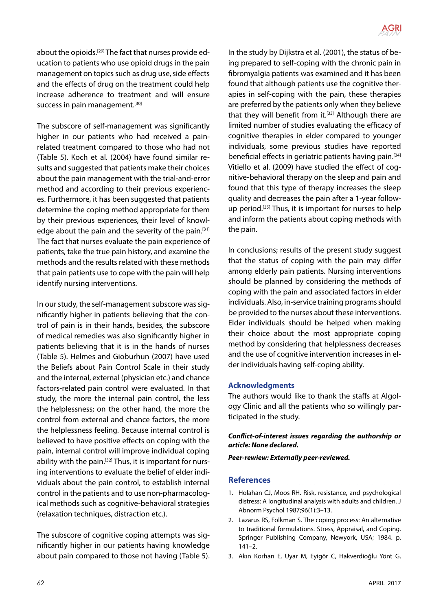

about the opioids.[29] The fact that nurses provide education to patients who use opioid drugs in the pain management on topics such as drug use, side effects and the effects of drug on the treatment could help increase adherence to treatment and will ensure success in pain management.<sup>[30]</sup>

The subscore of self-management was significantly higher in our patients who had received a painrelated treatment compared to those who had not (Table 5). Koch et al. (2004) have found similar results and suggested that patients make their choices about the pain management with the trial-and-error method and according to their previous experiences. Furthermore, it has been suggested that patients determine the coping method appropriate for them by their previous experiences, their level of knowledge about the pain and the severity of the pain.<sup>[31]</sup> The fact that nurses evaluate the pain experience of patients, take the true pain history, and examine the methods and the results related with these methods that pain patients use to cope with the pain will help identify nursing interventions.

In our study, the self-management subscore was significantly higher in patients believing that the control of pain is in their hands, besides, the subscore of medical remedies was also significantly higher in patients believing that it is in the hands of nurses (Table 5). Helmes and Gioburhun (2007) have used the Beliefs about Pain Control Scale in their study and the internal, external (physician etc.) and chance factors-related pain control were evaluated. In that study, the more the internal pain control, the less the helplessness; on the other hand, the more the control from external and chance factors, the more the helplessness feeling. Because internal control is believed to have positive effects on coping with the pain, internal control will improve individual coping ability with the pain.<sup>[32]</sup> Thus, it is important for nursing interventions to evaluate the belief of elder individuals about the pain control, to establish internal control in the patients and to use non-pharmacological methods such as cognitive-behavioral strategies (relaxation techniques, distraction etc.).

The subscore of cognitive coping attempts was significantly higher in our patients having knowledge about pain compared to those not having (Table 5). In the study by Dijkstra et al. (2001), the status of being prepared to self-coping with the chronic pain in fibromyalgia patients was examined and it has been found that although patients use the cognitive therapies in self-coping with the pain, these therapies are preferred by the patients only when they believe that they will benefit from it. $[33]$  Although there are limited number of studies evaluating the efficacy of cognitive therapies in elder compared to younger individuals, some previous studies have reported beneficial effects in geriatric patients having pain.<sup>[34]</sup> Vitiello et al. (2009) have studied the effect of cognitive-behavioral therapy on the sleep and pain and found that this type of therapy increases the sleep quality and decreases the pain after a 1-year followup period.[35] Thus, it is important for nurses to help and inform the patients about coping methods with the pain.

In conclusions; results of the present study suggest that the status of coping with the pain may differ among elderly pain patients. Nursing interventions should be planned by considering the methods of coping with the pain and associated factors in elder individuals. Also, in-service training programs should be provided to the nurses about these interventions. Elder individuals should be helped when making their choice about the most appropriate coping method by considering that helplessness decreases and the use of cognitive intervention increases in elder individuals having self-coping ability.

### **Acknowledgments**

The authors would like to thank the staffs at Algology Clinic and all the patients who so willingly participated in the study.

### *Conflict-of-interest issues regarding the authorship or article: None declared.*

*Peer-rewiew: Externally peer-reviewed.*

### **References**

- 1. Holahan CJ, Moos RH. Risk, resistance, and psychological distress: A longitudinal analysis with adults and children. J Abnorm Psychol 1987;96(1):3–13.
- 2. Lazarus RS, Folkman S. The coping process: An alternative to traditional formulations. Stress, Appraisal, and Coping. Springer Publishing Company, Newyork, USA; 1984. p. 141–2.
- 3. Akın Korhan E, Uyar M, Eyigör C, Hakverdioğlu Yönt G,